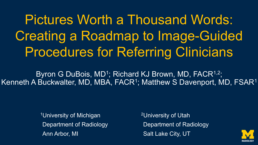Pictures Worth a Thousand Words: Creating a Roadmap to Image-Guided Procedures for Referring Clinicians

Byron G DuBois, MD<sup>1</sup>; Richard KJ Brown, MD, FACR<sup>1,2</sup>; Kenneth A Buckwalter, MD, MBA, FACR<sup>1</sup>; Matthew S Davenport, MD, FSAR<sup>1</sup>

> 1University of Michigan Department of Radiology Ann Arbor, MI

2University of Utah Department of Radiology Salt Lake City, UT

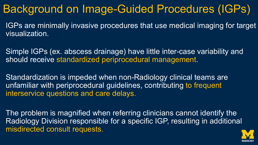## Background on Image-Guided Procedures (IGPs)

IGPs are minimally invasive procedures that use medical imaging for target visualization.

Simple IGPs (ex. abscess drainage) have little inter-case variability and should receive standardized periprocedural management.

Standardization is impeded when non-Radiology clinical teams are unfamiliar with periprocedural guidelines, contributing to frequent interservice questions and care delays.

The problem is magnified when referring clinicians cannot identify the Radiology Division responsible for a specific IGP, resulting in additional misdirected consult requests.

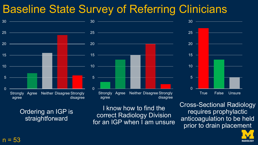## Baseline State Survey of Referring Clinicians





Ordering an IGP is straightforward

I know how to find the correct Radiology Division for an IGP when I am unsure Cross-Sectional Radiology requires prophylactic anticoagulation to be held prior to drain placement

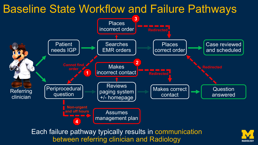### Baseline State Workflow and Failure Pathways



Each failure pathway typically results in communication between referring clinician and Radiology

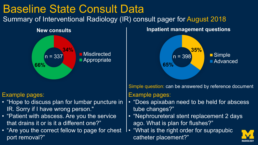

• "Are you the correct fellow to page for chest port removal?"

ago. What is plan for flushes?" • "What is the right order for suprapubic

catheter placement?"

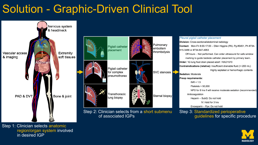# Solution - Graphic-Driven Clinical Tool



Step 1: Clinician selects anatomic region/organ system involved in desired IGP

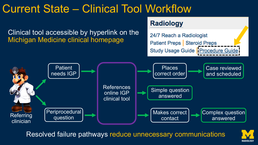## Current State – Clinical Tool Workflow

Clinical tool accessible by hyperlink on the Michigan Medicine clinical homepage

### **Radiology**

24/7 Reach a Radiologist Patient Preps | Steroid Preps Study Usage Guide | Procedure Guide



Resolved failure pathways reduce unnecessary communications

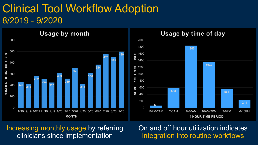### Clinical Tool Workflow Adoption 8/2019 - 9/2020



### Increasing monthly usage by referring clinicians since implementation

On and off hour utilization indicates integration into routine workflows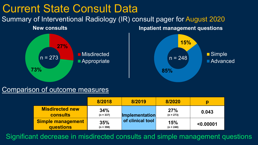

#### Comparison of outcome measures

|                                           | 8/2018             | 8/2019                                    | 8/2020             | p         |
|-------------------------------------------|--------------------|-------------------------------------------|--------------------|-----------|
| <b>Misdirected new</b><br><b>consults</b> | 34%<br>$(n = 337)$ | <b>Implementation</b><br>of clinical tool | 27%<br>$(n = 273)$ | 0.043     |
| <b>Simple management</b><br>questions     | 35%<br>$(n = 398)$ |                                           | 15%<br>$(n = 248)$ | < 0.00001 |

Significant decrease in misdirected consults and simple management questions